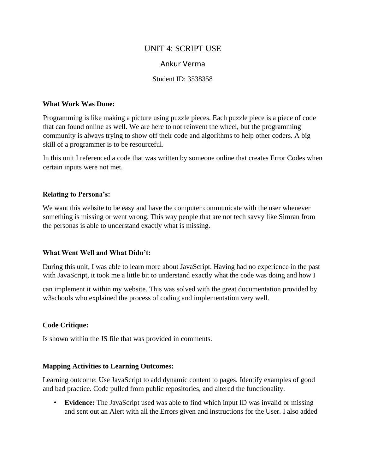# UNIT 4: SCRIPT USE

# Ankur Verma

### Student ID: 3538358

#### **What Work Was Done:**

Programming is like making a picture using puzzle pieces. Each puzzle piece is a piece of code that can found online as well. We are here to not reinvent the wheel, but the programming community is always trying to show off their code and algorithms to help other coders. A big skill of a programmer is to be resourceful.

In this unit I referenced a code that was written by someone online that creates Error Codes when certain inputs were not met.

### **Relating to Persona's:**

We want this website to be easy and have the computer communicate with the user whenever something is missing or went wrong. This way people that are not tech savvy like Simran from the personas is able to understand exactly what is missing.

## **What Went Well and What Didn't:**

During this unit, I was able to learn more about JavaScript. Having had no experience in the past with JavaScript, it took me a little bit to understand exactly what the code was doing and how I

can implement it within my website. This was solved with the great documentation provided by w3schools who explained the process of coding and implementation very well.

## **Code Critique:**

Is shown within the JS file that was provided in comments.

#### **Mapping Activities to Learning Outcomes:**

Learning outcome: Use JavaScript to add dynamic content to pages. Identify examples of good and bad practice. Code pulled from public repositories, and altered the functionality.

• **Evidence:** The JavaScript used was able to find which input ID was invalid or missing and sent out an Alert with all the Errors given and instructions for the User. I also added